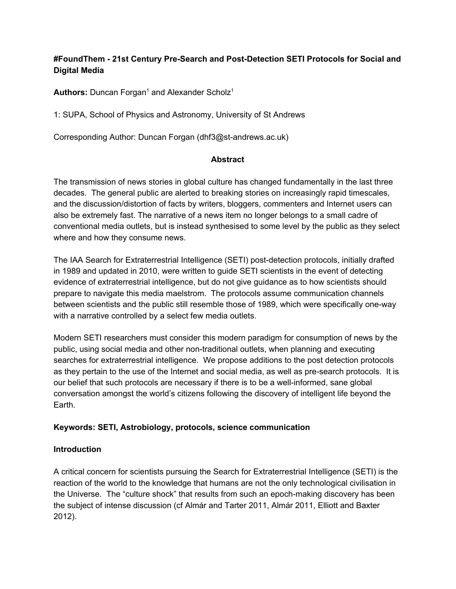# **#FoundThem 21st Century PreSearch and PostDetection SETI Protocols for Social and Digital Media**

Authors: Duncan Forgan<sup>1</sup> and Alexander Scholz<sup>1</sup>

1: SUPA, School of Physics and Astronomy, University of St Andrews

Corresponding Author: Duncan Forgan (dhf3@st-andrews.ac.uk)

#### **Abstract**

The transmission of news stories in global culture has changed fundamentally in the last three decades. The general public are alerted to breaking stories on increasingly rapid timescales, and the discussion/distortion of facts by writers, bloggers, commenters and Internet users can also be extremely fast. The narrative of a news item no longer belongs to a small cadre of conventional media outlets, but is instead synthesised to some level by the public as they select where and how they consume news.

The IAA Search for Extraterrestrial Intelligence (SETI) post-detection protocols, initially drafted in 1989 and updated in 2010, were written to guide SETI scientists in the event of detecting evidence of extraterrestrial intelligence, but do not give guidance as to how scientists should prepare to navigate this media maelstrom. The protocols assume communication channels between scientists and the public still resemble those of 1989, which were specifically oneway with a narrative controlled by a select few media outlets.

Modern SETI researchers must consider this modern paradigm for consumption of news by the public, using social media and other non-traditional outlets, when planning and executing searches for extraterrestrial intelligence. We propose additions to the post detection protocols as they pertain to the use of the Internet and social media, as well as pre-search protocols. It is our belief that such protocols are necessary if there is to be a well-informed, sane global conversation amongst the world's citizens following the discovery of intelligent life beyond the Earth.

#### **Keywords: SETI, Astrobiology, protocols, science communication**

#### **Introduction**

A critical concern for scientists pursuing the Search for Extraterrestrial Intelligence (SETI) is the reaction of the world to the knowledge that humans are not the only technological civilisation in the Universe. The "culture shock" that results from such an epoch-making discovery has been the subject of intense discussion (cf Almár and Tarter 2011, Almár 2011, Elliott and Baxter 2012).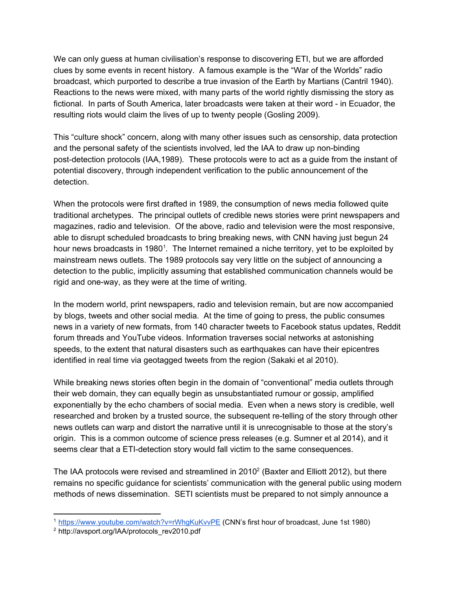We can only guess at human civilisation's response to discovering ETI, but we are afforded clues by some events in recent history. A famous example is the "War of the Worlds" radio broadcast, which purported to describe a true invasion of the Earth by Martians (Cantril 1940). Reactions to the news were mixed, with many parts of the world rightly dismissing the story as fictional. In parts of South America, later broadcasts were taken at their word - in Ecuador, the resulting riots would claim the lives of up to twenty people (Gosling 2009).

This "culture shock" concern, along with many other issues such as censorship, data protection and the personal safety of the scientists involved, led the IAA to draw up non-binding post-detection protocols (IAA,1989). These protocols were to act as a guide from the instant of potential discovery, through independent verification to the public announcement of the detection.

When the protocols were first drafted in 1989, the consumption of news media followed quite traditional archetypes. The principal outlets of credible news stories were print newspapers and magazines, radio and television. Of the above, radio and television were the most responsive, able to disrupt scheduled broadcasts to bring breaking news, with CNN having just begun 24 hour news broadcasts in 1980<sup>1</sup>. The Internet remained a niche territory, yet to be exploited by mainstream news outlets. The 1989 protocols say very little on the subject of announcing a detection to the public, implicitly assuming that established communication channels would be rigid and one-way, as they were at the time of writing.

In the modern world, print newspapers, radio and television remain, but are now accompanied by blogs, tweets and other social media. At the time of going to press, the public consumes news in a variety of new formats, from 140 character tweets to Facebook status updates, Reddit forum threads and YouTube videos. Information traverses social networks at astonishing speeds, to the extent that natural disasters such as earthquakes can have their epicentres identified in real time via geotagged tweets from the region (Sakaki et al 2010).

While breaking news stories often begin in the domain of "conventional" media outlets through their web domain, they can equally begin as unsubstantiated rumour or gossip, amplified exponentially by the echo chambers of social media. Even when a news story is credible, well researched and broken by a trusted source, the subsequent re-telling of the story through other news outlets can warp and distort the narrative until it is unrecognisable to those at the story's origin. This is a common outcome of science press releases (e.g. Sumner et al 2014), and it seems clear that a ETI-detection story would fall victim to the same consequences.

The IAA protocols were revised and streamlined in 2010 $^2$  (Baxter and Elliott 2012), but there remains no specific guidance for scientists' communication with the general public using modern methods of news dissemination. SETI scientists must be prepared to not simply announce a

<sup>&</sup>lt;sup>1</sup> <https://www.youtube.com/watch?v=rWhgKuKvvPE> (CNN's first hour of broadcast, June 1st 1980)

<sup>2</sup> http://avsport.org/IAA/protocols\_rev2010.pdf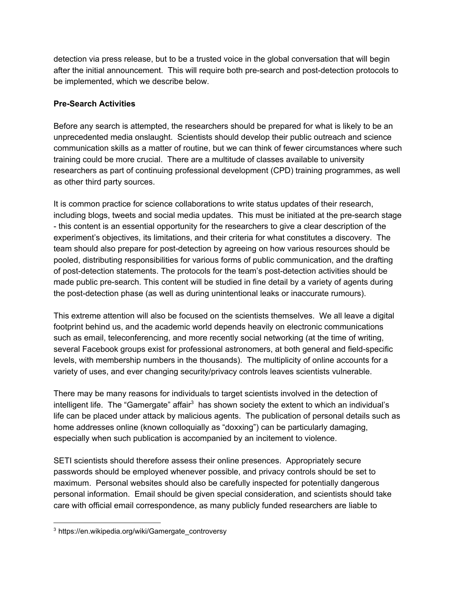detection via press release, but to be a trusted voice in the global conversation that will begin after the initial announcement. This will require both pre-search and post-detection protocols to be implemented, which we describe below.

# **Pre-Search Activities**

Before any search is attempted, the researchers should be prepared for what is likely to be an unprecedented media onslaught. Scientists should develop their public outreach and science communication skills as a matter of routine, but we can think of fewer circumstances where such training could be more crucial. There are a multitude of classes available to university researchers as part of continuing professional development (CPD) training programmes, as well as other third party sources.

It is common practice for science collaborations to write status updates of their research, including blogs, tweets and social media updates. This must be initiated at the pre-search stage - this content is an essential opportunity for the researchers to give a clear description of the experiment's objectives, its limitations, and their criteria for what constitutes a discovery. The team should also prepare for post-detection by agreeing on how various resources should be pooled, distributing responsibilities for various forms of public communication, and the drafting of post-detection statements. The protocols for the team's post-detection activities should be made public pre-search. This content will be studied in fine detail by a variety of agents during the post-detection phase (as well as during unintentional leaks or inaccurate rumours).

This extreme attention will also be focused on the scientists themselves. We all leave a digital footprint behind us, and the academic world depends heavily on electronic communications such as email, teleconferencing, and more recently social networking (at the time of writing, several Facebook groups exist for professional astronomers, at both general and field-specific levels, with membership numbers in the thousands). The multiplicity of online accounts for a variety of uses, and ever changing security/privacy controls leaves scientists vulnerable.

There may be many reasons for individuals to target scientists involved in the detection of intelligent life. The "Gamergate" affair<sup>3</sup> has shown society the extent to which an individual's life can be placed under attack by malicious agents. The publication of personal details such as home addresses online (known colloquially as "doxxing") can be particularly damaging, especially when such publication is accompanied by an incitement to violence.

SETI scientists should therefore assess their online presences. Appropriately secure passwords should be employed whenever possible, and privacy controls should be set to maximum. Personal websites should also be carefully inspected for potentially dangerous personal information. Email should be given special consideration, and scientists should take care with official email correspondence, as many publicly funded researchers are liable to

<sup>3</sup> https://en.wikipedia.org/wiki/Gamergate\_controversy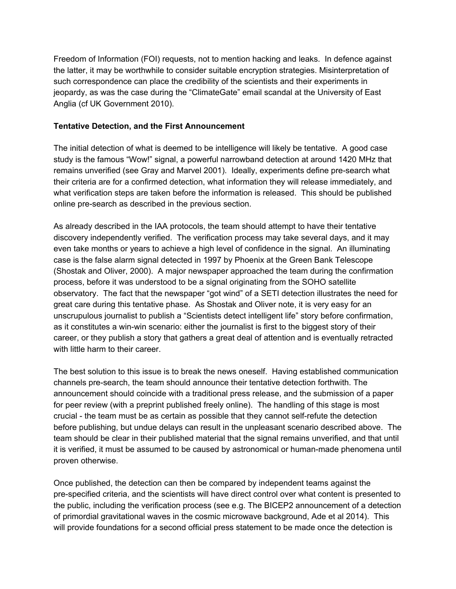Freedom of Information (FOI) requests, not to mention hacking and leaks. In defence against the latter, it may be worthwhile to consider suitable encryption strategies. Misinterpretation of such correspondence can place the credibility of the scientists and their experiments in jeopardy, as was the case during the "ClimateGate" email scandal at the University of East Anglia (cf UK Government 2010).

#### **Tentative Detection, and the First Announcement**

The initial detection of what is deemed to be intelligence will likely be tentative. A good case study is the famous "Wow!" signal, a powerful narrowband detection at around 1420 MHz that remains unverified (see Gray and Marvel 2001). Ideally, experiments define pre-search what their criteria are for a confirmed detection, what information they will release immediately, and what verification steps are taken before the information is released. This should be published online pre-search as described in the previous section.

As already described in the IAA protocols, the team should attempt to have their tentative discovery independently verified. The verification process may take several days, and it may even take months or years to achieve a high level of confidence in the signal. An illuminating case is the false alarm signal detected in 1997 by Phoenix at the Green Bank Telescope (Shostak and Oliver, 2000). A major newspaper approached the team during the confirmation process, before it was understood to be a signal originating from the SOHO satellite observatory. The fact that the newspaper "got wind" of a SETI detection illustrates the need for great care during this tentative phase. As Shostak and Oliver note, it is very easy for an unscrupulous journalist to publish a "Scientists detect intelligent life" story before confirmation, as it constitutes a win-win scenario: either the journalist is first to the biggest story of their career, or they publish a story that gathers a great deal of attention and is eventually retracted with little harm to their career.

The best solution to this issue is to break the news oneself. Having established communication channels presearch, the team should announce their tentative detection forthwith. The announcement should coincide with a traditional press release, and the submission of a paper for peer review (with a preprint published freely online). The handling of this stage is most crucial - the team must be as certain as possible that they cannot self-refute the detection before publishing, but undue delays can result in the unpleasant scenario described above. The team should be clear in their published material that the signal remains unverified, and that until it is verified, it must be assumed to be caused by astronomical or human-made phenomena until proven otherwise.

Once published, the detection can then be compared by independent teams against the prespecified criteria, and the scientists will have direct control over what content is presented to the public, including the verification process (see e.g. The BICEP2 announcement of a detection of primordial gravitational waves in the cosmic microwave background, Ade et al 2014). This will provide foundations for a second official press statement to be made once the detection is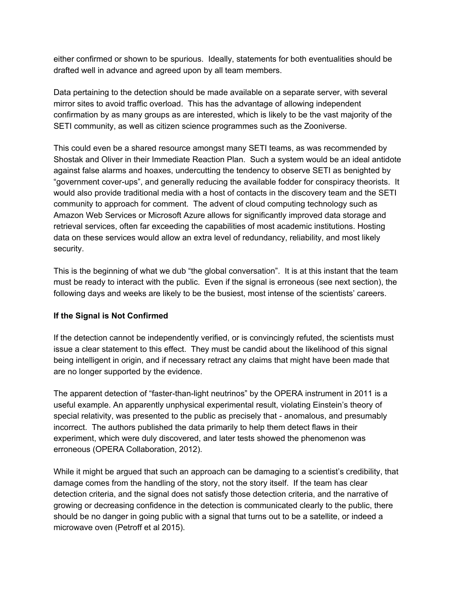either confirmed or shown to be spurious. Ideally, statements for both eventualities should be drafted well in advance and agreed upon by all team members.

Data pertaining to the detection should be made available on a separate server, with several mirror sites to avoid traffic overload. This has the advantage of allowing independent confirmation by as many groups as are interested, which is likely to be the vast majority of the SETI community, as well as citizen science programmes such as the Zooniverse.

This could even be a shared resource amongst many SETI teams, as was recommended by Shostak and Oliver in their Immediate Reaction Plan. Such a system would be an ideal antidote against false alarms and hoaxes, undercutting the tendency to observe SETI as benighted by "government cover-ups", and generally reducing the available fodder for conspiracy theorists. It would also provide traditional media with a host of contacts in the discovery team and the SETI community to approach for comment. The advent of cloud computing technology such as Amazon Web Services or Microsoft Azure allows for significantly improved data storage and retrieval services, often far exceeding the capabilities of most academic institutions. Hosting data on these services would allow an extra level of redundancy, reliability, and most likely security.

This is the beginning of what we dub "the global conversation". It is at this instant that the team must be ready to interact with the public. Even if the signal is erroneous (see next section), the following days and weeks are likely to be the busiest, most intense of the scientists' careers.

# **If the Signal is Not Confirmed**

If the detection cannot be independently verified, or is convincingly refuted, the scientists must issue a clear statement to this effect. They must be candid about the likelihood of this signal being intelligent in origin, and if necessary retract any claims that might have been made that are no longer supported by the evidence.

The apparent detection of "faster-than-light neutrinos" by the OPERA instrument in 2011 is a useful example. An apparently unphysical experimental result, violating Einstein's theory of special relativity, was presented to the public as precisely that - anomalous, and presumably incorrect. The authors published the data primarily to help them detect flaws in their experiment, which were duly discovered, and later tests showed the phenomenon was erroneous (OPERA Collaboration, 2012).

While it might be argued that such an approach can be damaging to a scientist's credibility, that damage comes from the handling of the story, not the story itself. If the team has clear detection criteria, and the signal does not satisfy those detection criteria, and the narrative of growing or decreasing confidence in the detection is communicated clearly to the public, there should be no danger in going public with a signal that turns out to be a satellite, or indeed a microwave oven (Petroff et al 2015).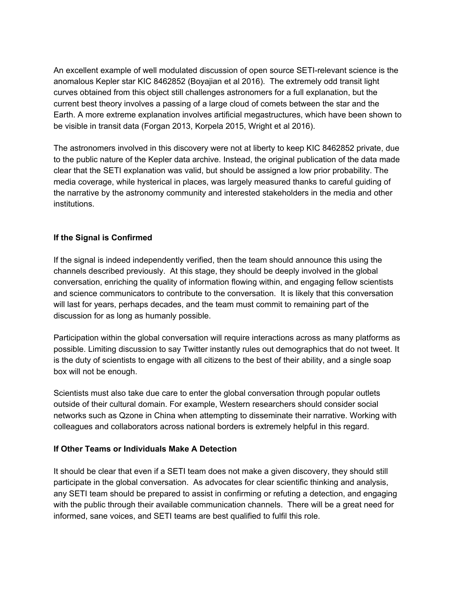An excellent example of well modulated discussion of open source SETI-relevant science is the anomalous Kepler star KIC 8462852 (Boyajian et al 2016). The extremely odd transit light curves obtained from this object still challenges astronomers for a full explanation, but the current best theory involves a passing of a large cloud of comets between the star and the Earth. A more extreme explanation involves artificial megastructures, which have been shown to be visible in transit data (Forgan 2013, Korpela 2015, Wright et al 2016).

The astronomers involved in this discovery were not at liberty to keep KIC 8462852 private, due to the public nature of the Kepler data archive. Instead, the original publication of the data made clear that the SETI explanation was valid, but should be assigned a low prior probability. The media coverage, while hysterical in places, was largely measured thanks to careful guiding of the narrative by the astronomy community and interested stakeholders in the media and other institutions.

# **If the Signal is Confirmed**

If the signal is indeed independently verified, then the team should announce this using the channels described previously. At this stage, they should be deeply involved in the global conversation, enriching the quality of information flowing within, and engaging fellow scientists and science communicators to contribute to the conversation. It is likely that this conversation will last for years, perhaps decades, and the team must commit to remaining part of the discussion for as long as humanly possible.

Participation within the global conversation will require interactions across as many platforms as possible. Limiting discussion to say Twitter instantly rules out demographics that do not tweet. It is the duty of scientists to engage with all citizens to the best of their ability, and a single soap box will not be enough.

Scientists must also take due care to enter the global conversation through popular outlets outside of their cultural domain. For example, Western researchers should consider social networks such as Qzone in China when attempting to disseminate their narrative. Working with colleagues and collaborators across national borders is extremely helpful in this regard.

# **If Other Teams or Individuals Make A Detection**

It should be clear that even if a SETI team does not make a given discovery, they should still participate in the global conversation. As advocates for clear scientific thinking and analysis, any SETI team should be prepared to assist in confirming or refuting a detection, and engaging with the public through their available communication channels. There will be a great need for informed, sane voices, and SETI teams are best qualified to fulfil this role.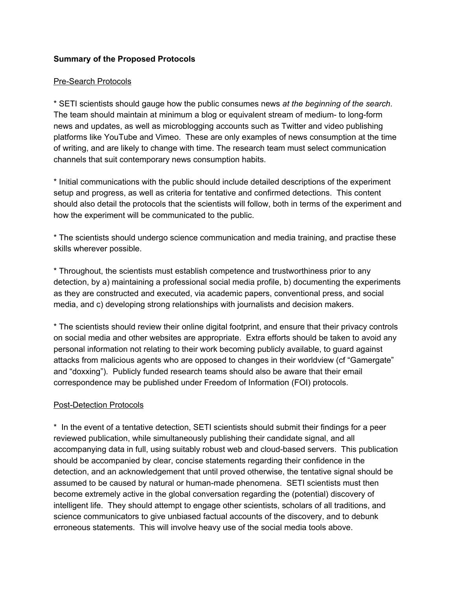## **Summary of the Proposed Protocols**

## **Pre-Search Protocols**

\* SETI scientists should gauge how the public consumes news *at the beginning of the search*. The team should maintain at minimum a blog or equivalent stream of medium- to long-form news and updates, as well as microblogging accounts such as Twitter and video publishing platforms like YouTube and Vimeo. These are only examples of news consumption at the time of writing, and are likely to change with time. The research team must select communication channels that suit contemporary news consumption habits.

\* Initial communications with the public should include detailed descriptions of the experiment setup and progress, as well as criteria for tentative and confirmed detections. This content should also detail the protocols that the scientists will follow, both in terms of the experiment and how the experiment will be communicated to the public.

\* The scientists should undergo science communication and media training, and practise these skills wherever possible.

\* Throughout, the scientists must establish competence and trustworthiness prior to any detection, by a) maintaining a professional social media profile, b) documenting the experiments as they are constructed and executed, via academic papers, conventional press, and social media, and c) developing strong relationships with journalists and decision makers.

\* The scientists should review their online digital footprint, and ensure that their privacy controls on social media and other websites are appropriate. Extra efforts should be taken to avoid any personal information not relating to their work becoming publicly available, to guard against attacks from malicious agents who are opposed to changes in their worldview (cf "Gamergate" and "doxxing"). Publicly funded research teams should also be aware that their email correspondence may be published under Freedom of Information (FOI) protocols.

#### Post-Detection Protocols

\* In the event of a tentative detection, SETI scientists should submit their findings for a peer reviewed publication, while simultaneously publishing their candidate signal, and all accompanying data in full, using suitably robust web and cloud-based servers. This publication should be accompanied by clear, concise statements regarding their confidence in the detection, and an acknowledgement that until proved otherwise, the tentative signal should be assumed to be caused by natural or human-made phenomena. SETI scientists must then become extremely active in the global conversation regarding the (potential) discovery of intelligent life. They should attempt to engage other scientists, scholars of all traditions, and science communicators to give unbiased factual accounts of the discovery, and to debunk erroneous statements. This will involve heavy use of the social media tools above.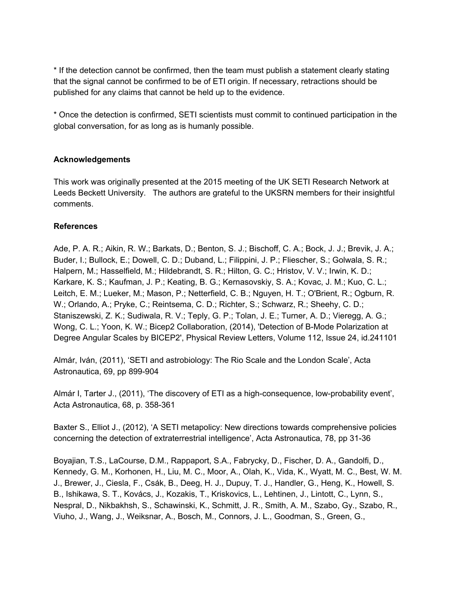\* If the detection cannot be confirmed, then the team must publish a statement clearly stating that the signal cannot be confirmed to be of ETI origin. If necessary, retractions should be published for any claims that cannot be held up to the evidence.

\* Once the detection is confirmed, SETI scientists must commit to continued participation in the global conversation, for as long as is humanly possible.

## **Acknowledgements**

This work was originally presented at the 2015 meeting of the UK SETI Research Network at Leeds Beckett University. The authors are grateful to the UKSRN members for their insightful comments.

## **References**

Ade, P. A. R.; Aikin, R. W.; Barkats, D.; Benton, S. J.; Bischoff, C. A.; Bock, J. J.; Brevik, J. A.; Buder, I.; Bullock, E.; Dowell, C. D.; Duband, L.; Filippini, J. P.; Fliescher, S.; Golwala, S. R.; Halpern, M.; Hasselfield, M.; Hildebrandt, S. R.; Hilton, G. C.; Hristov, V. V.; Irwin, K. D.; Karkare, K. S.; Kaufman, J. P.; Keating, B. G.; Kernasovskiy, S. A.; Kovac, J. M.; Kuo, C. L.; Leitch, E. M.; Lueker, M.; Mason, P.; Netterfield, C. B.; Nguyen, H. T.; O'Brient, R.; Ogburn, R. W.; Orlando, A.; Pryke, C.; Reintsema, C. D.; Richter, S.; Schwarz, R.; Sheehy, C. D.; Staniszewski, Z. K.; Sudiwala, R. V.; Teply, G. P.; Tolan, J. E.; Turner, A. D.; Vieregg, A. G.; Wong, C. L.; Yoon, K. W.; Bicep2 Collaboration, (2014), 'Detection of B-Mode Polarization at Degree Angular Scales by BICEP2', Physical Review Letters, Volume 112, Issue 24, id.241101

Almár, Iván, (2011), 'SETI and astrobiology: The Rio Scale and the London Scale', Acta Astronautica, 69, pp 899-904

Almár I, Tarter J., (2011), 'The discovery of ETI as a high-consequence, low-probability event', Acta Astronautica, 68, p. 358-361

Baxter S., Elliot J., (2012), 'A SETI metapolicy: New directions towards comprehensive policies concerning the detection of extraterrestrial intelligence', Acta Astronautica, 78, pp 31-36

Boyajian, T.S., LaCourse, D.M., Rappaport, S.A., Fabrycky, D., Fischer, D. A., Gandolfi, D., Kennedy, G. M., Korhonen, H., Liu, M. C., Moor, A., Olah, K., Vida, K., Wyatt, M. C., Best, W. M. J., Brewer, J., Ciesla, F., Csák, B., Deeg, H. J., Dupuy, T. J., Handler, G., Heng, K., Howell, S. B., Ishikawa, S. T., Kovács, J., Kozakis, T., Kriskovics, L., Lehtinen, J., Lintott, C., Lynn, S., Nespral, D., Nikbakhsh, S., Schawinski, K., Schmitt, J. R., Smith, A. M., Szabo, Gy., Szabo, R., Viuho, J., Wang, J., Weiksnar, A., Bosch, M., Connors, J. L., Goodman, S., Green, G.,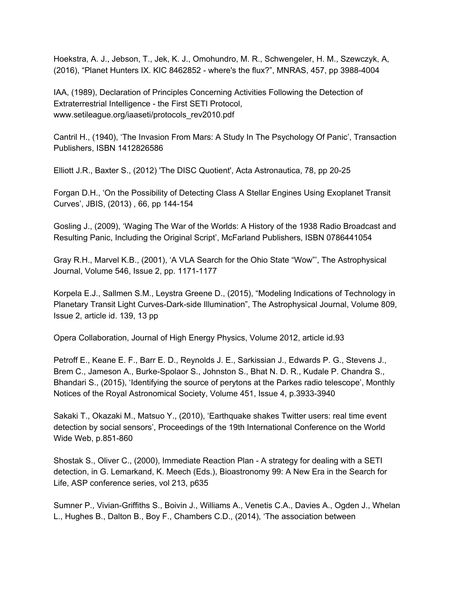Hoekstra, A. J., Jebson, T., Jek, K. J., Omohundro, M. R., Schwengeler, H. M., Szewczyk, A, (2016), "Planet Hunters IX. KIC 8462852 where's the flux?", MNRAS, 457, pp 39884004

IAA, (1989), Declaration of Principles Concerning Activities Following the Detection of Extraterrestrial Intelligence - the First SETI Protocol, www.setileague.org/iaaseti/protocols\_rev2010.pdf

Cantril H., (1940), 'The Invasion From Mars: A Study In The Psychology Of Panic', Transaction Publishers, ISBN 1412826586

Elliott J.R., Baxter S., (2012) 'The DISC Quotient', Acta Astronautica, 78, pp 2025

Forgan D.H., 'On the Possibility of Detecting Class A Stellar Engines Using Exoplanet Transit Curves', JBIS, (2013), 66, pp 144-154

Gosling J., (2009), 'Waging The War of the Worlds: A History of the 1938 Radio Broadcast and Resulting Panic, Including the Original Script', McFarland Publishers, ISBN 0786441054

Gray R.H., Marvel K.B., (2001), 'A VLA Search for the Ohio State "Wow"', The Astrophysical Journal, Volume 546, Issue 2, pp. 1171-1177

Korpela E.J., Sallmen S.M., Leystra Greene D., (2015), "Modeling Indications of Technology in Planetary Transit Light Curves-Dark-side Illumination", The Astrophysical Journal, Volume 809, Issue 2, article id. 139, 13 pp

Opera Collaboration, Journal of High Energy Physics, Volume 2012, article id.93

Petroff E., Keane E. F., Barr E. D., Reynolds J. E., Sarkissian J., Edwards P. G., Stevens J., Brem C., Jameson A., Burke-Spolaor S., Johnston S., Bhat N. D. R., Kudale P. Chandra S., Bhandari S., (2015), 'Identifying the source of perytons at the Parkes radio telescope', Monthly Notices of the Royal Astronomical Society, Volume 451, Issue 4, p.3933-3940

Sakaki T., Okazaki M., Matsuo Y., (2010), 'Earthquake shakes Twitter users: real time event detection by social sensors', Proceedings of the 19th International Conference on the World Wide Web, p.851-860

Shostak S., Oliver C., (2000), Immediate Reaction Plan A strategy for dealing with a SETI detection, in G. Lemarkand, K. Meech (Eds.), Bioastronomy 99: A New Era in the Search for Life, ASP conference series, vol 213, p635

Sumner P., Vivian-Griffiths S., Boivin J., Williams A., Venetis C.A., Davies A., Ogden J., Whelan L., Hughes B., Dalton B., Boy F., Chambers C.D., (2014), 'The association between